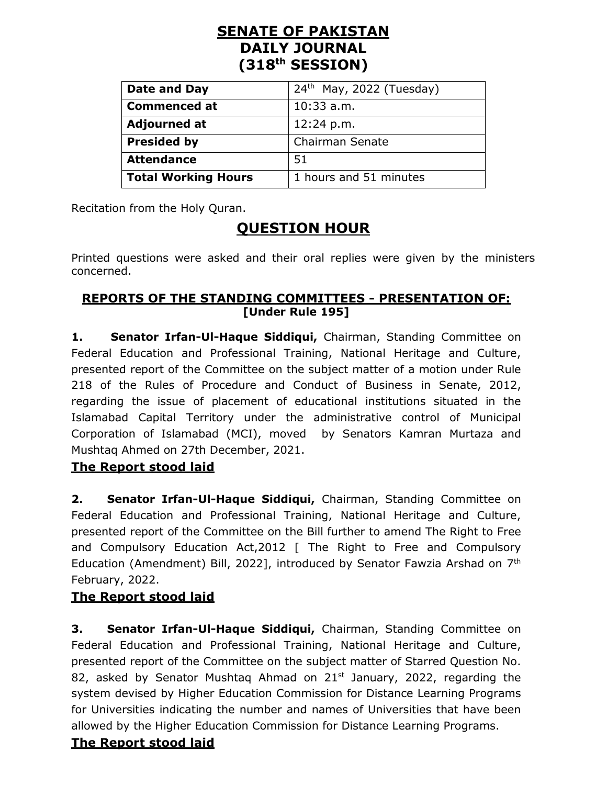# **SENATE OF PAKISTAN DAILY JOURNAL (318th SESSION)**

| Date and Day               | $24th$ May, 2022 (Tuesday) |
|----------------------------|----------------------------|
| <b>Commenced at</b>        | $10:33$ a.m.               |
| <b>Adjourned at</b>        | 12:24 p.m.                 |
| <b>Presided by</b>         | Chairman Senate            |
| <b>Attendance</b>          | -51                        |
| <b>Total Working Hours</b> | 1 hours and 51 minutes     |

Recitation from the Holy Quran.

# **QUESTION HOUR**

Printed questions were asked and their oral replies were given by the ministers concerned.

#### **REPORTS OF THE STANDING COMMITTEES - PRESENTATION OF: [Under Rule 195]**

**1. Senator Irfan-Ul-Haque Siddiqui,** Chairman, Standing Committee on Federal Education and Professional Training, National Heritage and Culture, presented report of the Committee on the subject matter of a motion under Rule 218 of the Rules of Procedure and Conduct of Business in Senate, 2012, regarding the issue of placement of educational institutions situated in the Islamabad Capital Territory under the administrative control of Municipal Corporation of Islamabad (MCI), moved by Senators Kamran Murtaza and Mushtaq Ahmed on 27th December, 2021.

### **The Report stood laid**

**2. Senator Irfan-Ul-Haque Siddiqui,** Chairman, Standing Committee on Federal Education and Professional Training, National Heritage and Culture, presented report of the Committee on the Bill further to amend The Right to Free and Compulsory Education Act,2012 [ The Right to Free and Compulsory Education (Amendment) Bill, 2022], introduced by Senator Fawzia Arshad on 7th February, 2022.

# **The Report stood laid**

**3. Senator Irfan-Ul-Haque Siddiqui,** Chairman, Standing Committee on Federal Education and Professional Training, National Heritage and Culture, presented report of the Committee on the subject matter of Starred Question No. 82, asked by Senator Mushtag Ahmad on  $21<sup>st</sup>$  January, 2022, regarding the system devised by Higher Education Commission for Distance Learning Programs for Universities indicating the number and names of Universities that have been allowed by the Higher Education Commission for Distance Learning Programs.

# **The Report stood laid**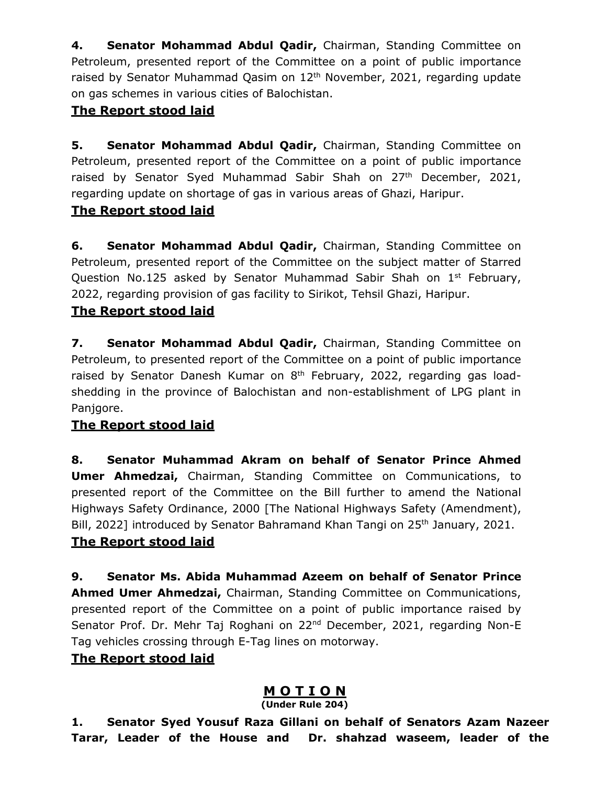**4. Senator Mohammad Abdul Qadir,** Chairman, Standing Committee on Petroleum, presented report of the Committee on a point of public importance raised by Senator Muhammad Qasim on 12<sup>th</sup> November, 2021, regarding update on gas schemes in various cities of Balochistan.

#### **The Report stood laid**

**5. Senator Mohammad Abdul Qadir,** Chairman, Standing Committee on Petroleum, presented report of the Committee on a point of public importance raised by Senator Syed Muhammad Sabir Shah on 27<sup>th</sup> December, 2021, regarding update on shortage of gas in various areas of Ghazi, Haripur.

#### **The Report stood laid**

**6. Senator Mohammad Abdul Qadir,** Chairman, Standing Committee on Petroleum, presented report of the Committee on the subject matter of Starred Question No.125 asked by Senator Muhammad Sabir Shah on  $1<sup>st</sup>$  February, 2022, regarding provision of gas facility to Sirikot, Tehsil Ghazi, Haripur.

#### **The Report stood laid**

**7. Senator Mohammad Abdul Qadir,** Chairman, Standing Committee on Petroleum, to presented report of the Committee on a point of public importance raised by Senator Danesh Kumar on 8<sup>th</sup> February, 2022, regarding gas loadshedding in the province of Balochistan and non-establishment of LPG plant in Panjgore.

### **The Report stood laid**

**8. Senator Muhammad Akram on behalf of Senator Prince Ahmed Umer Ahmedzai,** Chairman, Standing Committee on Communications, to presented report of the Committee on the Bill further to amend the National Highways Safety Ordinance, 2000 [The National Highways Safety (Amendment), Bill, 2022] introduced by Senator Bahramand Khan Tangi on 25<sup>th</sup> January, 2021.

### **The Report stood laid**

**9. Senator Ms. Abida Muhammad Azeem on behalf of Senator Prince Ahmed Umer Ahmedzai,** Chairman, Standing Committee on Communications, presented report of the Committee on a point of public importance raised by Senator Prof. Dr. Mehr Taj Roghani on 22<sup>nd</sup> December, 2021, regarding Non-E Tag vehicles crossing through E-Tag lines on motorway.

#### **The Report stood laid**

# **M O T I O N**

**(Under Rule 204)**

**1. Senator Syed Yousuf Raza Gillani on behalf of Senators Azam Nazeer Tarar, Leader of the House and Dr. shahzad waseem, leader of the**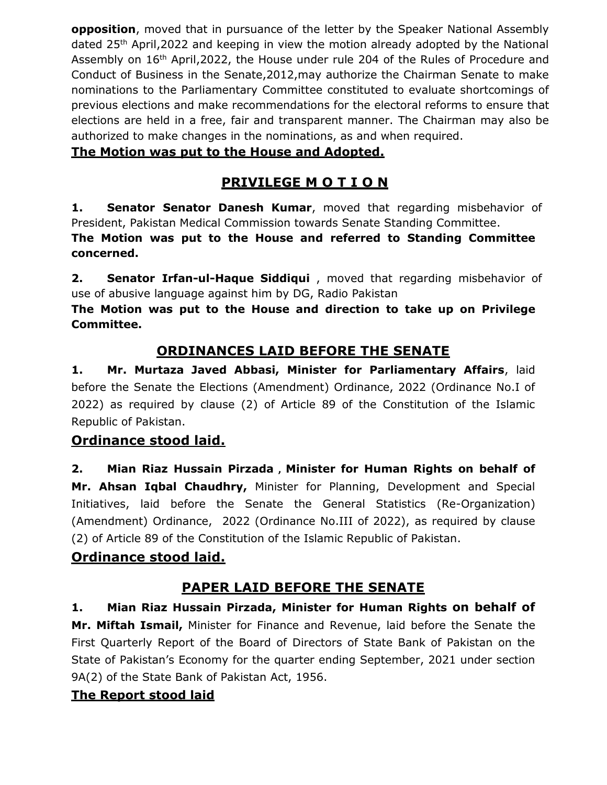**opposition**, moved that in pursuance of the letter by the Speaker National Assembly dated 25th April,2022 and keeping in view the motion already adopted by the National Assembly on 16<sup>th</sup> April, 2022, the House under rule 204 of the Rules of Procedure and Conduct of Business in the Senate,2012,may authorize the Chairman Senate to make nominations to the Parliamentary Committee constituted to evaluate shortcomings of previous elections and make recommendations for the electoral reforms to ensure that elections are held in a free, fair and transparent manner. The Chairman may also be authorized to make changes in the nominations, as and when required.

### **The Motion was put to the House and Adopted.**

# **PRIVILEGE M O T I O N**

**1. Senator Senator Danesh Kumar**, moved that regarding misbehavior of President, Pakistan Medical Commission towards Senate Standing Committee.

**The Motion was put to the House and referred to Standing Committee concerned.**

**2. Senator Irfan-ul-Haque Siddiqui** , moved that regarding misbehavior of use of abusive language against him by DG, Radio Pakistan

**The Motion was put to the House and direction to take up on Privilege Committee.**

# **ORDINANCES LAID BEFORE THE SENATE**

**1. Mr. Murtaza Javed Abbasi, Minister for Parliamentary Affairs**, laid before the Senate the Elections (Amendment) Ordinance, 2022 (Ordinance No.I of 2022) as required by clause (2) of Article 89 of the Constitution of the Islamic Republic of Pakistan.

# **Ordinance stood laid.**

**2. Mian Riaz Hussain Pirzada , Minister for Human Rights on behalf of Mr. Ahsan Iqbal Chaudhry,** Minister for Planning, Development and Special Initiatives, laid before the Senate the General Statistics (Re-Organization) (Amendment) Ordinance, 2022 (Ordinance No.III of 2022), as required by clause (2) of Article 89 of the Constitution of the Islamic Republic of Pakistan.

### **Ordinance stood laid.**

# **PAPER LAID BEFORE THE SENATE**

**1. Mian Riaz Hussain Pirzada, Minister for Human Rights on behalf of Mr. Miftah Ismail,** Minister for Finance and Revenue, laid before the Senate the First Quarterly Report of the Board of Directors of State Bank of Pakistan on the State of Pakistan's Economy for the quarter ending September, 2021 under section 9A(2) of the State Bank of Pakistan Act, 1956.

# **The Report stood laid**